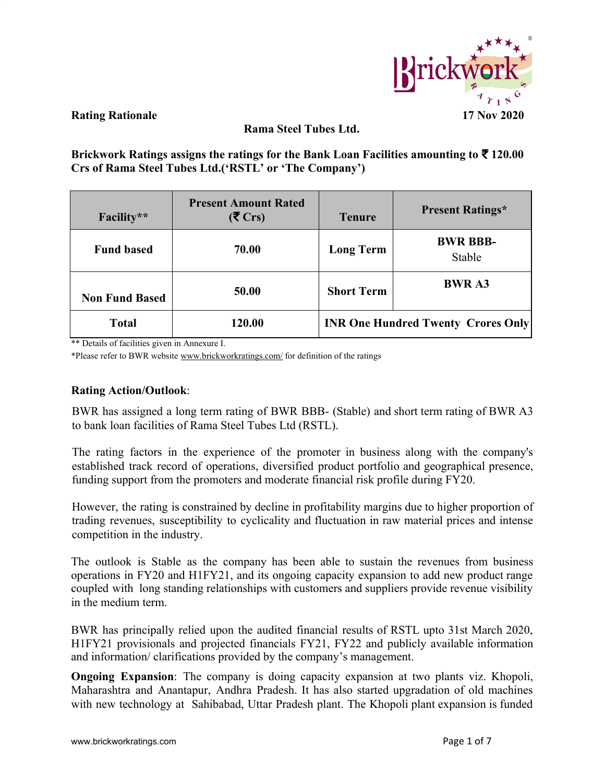

**Rama Steel Tubes Ltd.**

**Brickwork Ratings assigns the ratings for the Bank Loan Facilities amounting to** ₹ **120.00 Crs of Rama Steel Tubes Ltd.('RSTL' or 'The Company')**

| Facility**            | <b>Present Amount Rated</b><br>$(5 \text{ Crs})$ | <b>Tenure</b>                             | <b>Present Ratings*</b>   |  |  |
|-----------------------|--------------------------------------------------|-------------------------------------------|---------------------------|--|--|
| <b>Fund based</b>     | 70.00                                            | <b>Long Term</b>                          | <b>BWR BBB-</b><br>Stable |  |  |
| <b>Non Fund Based</b> | 50.00                                            | <b>Short Term</b>                         | <b>BWR A3</b>             |  |  |
| <b>Total</b>          | 120.00                                           | <b>INR One Hundred Twenty Crores Only</b> |                           |  |  |

\*\* Details of facilities given in Annexure I.

\*Please refer to BWR website [www.brickworkratings.com/](http://www.brickworkratings.com/) for definition of the ratings

## **Rating Action/Outlook**:

BWR has assigned a long term rating of BWR BBB- (Stable) and short term rating of BWR A3 to bank loan facilities of Rama Steel Tubes Ltd (RSTL).

The rating factors in the experience of the promoter in business along with the company's established track record of operations, diversified product portfolio and geographical presence, funding support from the promoters and moderate financial risk profile during FY20.

However, the rating is constrained by decline in profitability margins due to higher proportion of trading revenues, susceptibility to cyclicality and fluctuation in raw material prices and intense competition in the industry.

The outlook is Stable as the company has been able to sustain the revenues from business operations in FY20 and H1FY21, and its ongoing capacity expansion to add new product range coupled with long standing relationships with customers and suppliers provide revenue visibility in the medium term.

BWR has principally relied upon the audited financial results of RSTL upto 31st March 2020, H1FY21 provisionals and projected financials FY21, FY22 and publicly available information and information/ clarifications provided by the company's management.

**Ongoing Expansion**: The company is doing capacity expansion at two plants viz. Khopoli, Maharashtra and Anantapur, Andhra Pradesh. It has also started upgradation of old machines with new technology at Sahibabad, Uttar Pradesh plant. The Khopoli plant expansion is funded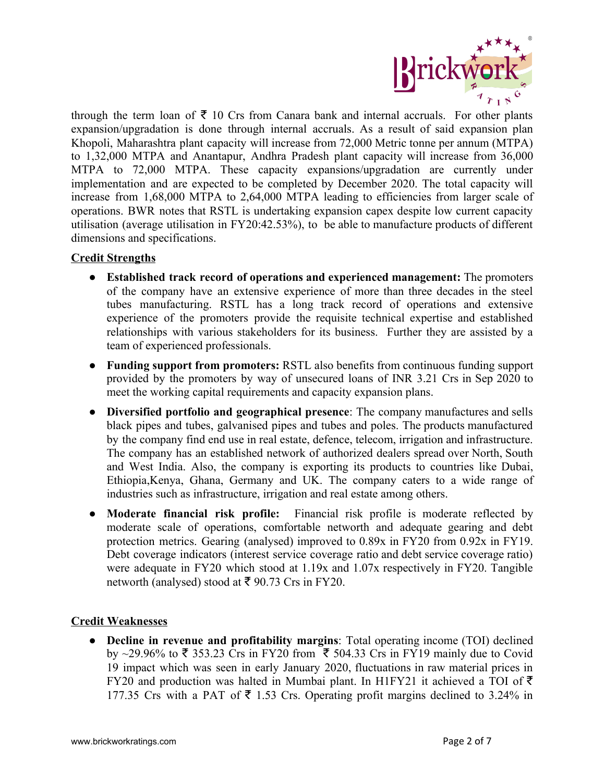

through the term loan of  $\bar{\tau}$  10 Crs from Canara bank and internal accruals. For other plants expansion/upgradation is done through internal accruals. As a result of said expansion plan Khopoli, Maharashtra plant capacity will increase from 72,000 Metric tonne per annum (MTPA) to 1,32,000 MTPA and Anantapur, Andhra Pradesh plant capacity will increase from 36,000 MTPA to 72,000 MTPA. These capacity expansions/upgradation are currently under implementation and are expected to be completed by December 2020. The total capacity will increase from 1,68,000 MTPA to 2,64,000 MTPA leading to efficiencies from larger scale of operations. BWR notes that RSTL is undertaking expansion capex despite low current capacity utilisation (average utilisation in FY20:42.53%), to be able to manufacture products of different dimensions and specifications.

## **Credit Strengths**

- **Established track record of operations and experienced management:** The promoters of the company have an extensive experience of more than three decades in the steel tubes manufacturing. RSTL has a long track record of operations and extensive experience of the promoters provide the requisite technical expertise and established relationships with various stakeholders for its business. Further they are assisted by a team of experienced professionals.
- **Funding support from promoters:** RSTL also benefits from continuous funding support provided by the promoters by way of unsecured loans of INR 3.21 Crs in Sep 2020 to meet the working capital requirements and capacity expansion plans.
- **Diversified portfolio and geographical presence**: The company manufactures and sells black pipes and tubes, galvanised pipes and tubes and poles. The products manufactured by the company find end use in real estate, defence, telecom, irrigation and infrastructure. The company has an established network of authorized dealers spread over North, South and West India. Also, the company is exporting its products to countries like Dubai, Ethiopia,Kenya, Ghana, Germany and UK. The company caters to a wide range of industries such as infrastructure, irrigation and real estate among others.
- **Moderate financial risk profile:** Financial risk profile is moderate reflected by moderate scale of operations, comfortable networth and adequate gearing and debt protection metrics. Gearing (analysed) improved to 0.89x in FY20 from 0.92x in FY19. Debt coverage indicators (interest service coverage ratio and debt service coverage ratio) were adequate in FY20 which stood at 1.19x and 1.07x respectively in FY20. Tangible networth (analysed) stood at ₹ 90.73 Crs in FY20.

## **Credit Weaknesses**

● **Decline in revenue and profitability margins**: Total operating income (TOI) declined by ~29.96% to ₹ 353.23 Crs in FY20 from ₹ 504.33 Crs in FY19 mainly due to Covid 19 impact which was seen in early January 2020, fluctuations in raw material prices in FY20 and production was halted in Mumbai plant. In H1FY21 it achieved a TOI of  $\bar{\tau}$ 177.35 Crs with a PAT of  $\bar{\tau}$  1.53 Crs. Operating profit margins declined to 3.24% in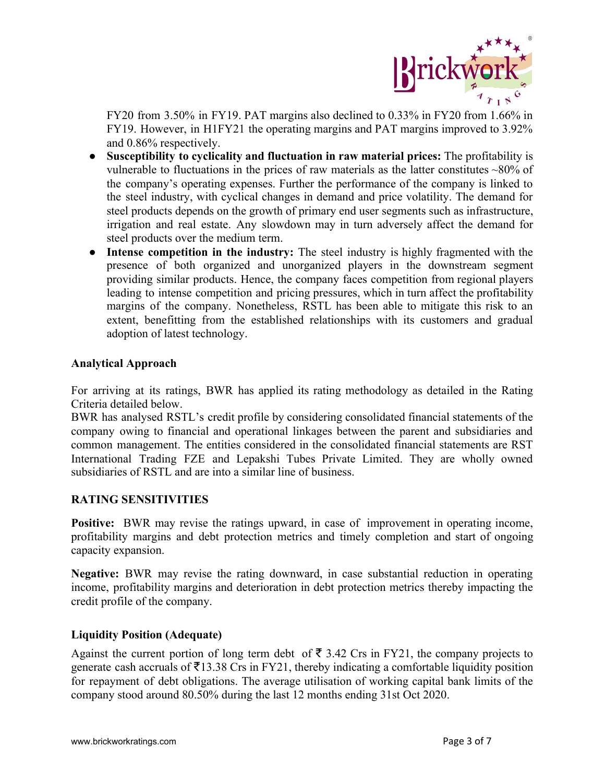

FY20 from 3.50% in FY19. PAT margins also declined to 0.33% in FY20 from 1.66% in FY19. However, in H1FY21 the operating margins and PAT margins improved to 3.92% and 0.86% respectively.

- **Susceptibility to cyclicality and fluctuation in raw material prices:** The profitability is vulnerable to fluctuations in the prices of raw materials as the latter constitutes ~80% of the company's operating expenses. Further the performance of the company is linked to the steel industry, with cyclical changes in demand and price volatility. The demand for steel products depends on the growth of primary end user segments such as infrastructure, irrigation and real estate. Any slowdown may in turn adversely affect the demand for steel products over the medium term.
- **Intense competition in the industry:** The steel industry is highly fragmented with the presence of both organized and unorganized players in the downstream segment providing similar products. Hence, the company faces competition from regional players leading to intense competition and pricing pressures, which in turn affect the profitability margins of the company. Nonetheless, RSTL has been able to mitigate this risk to an extent, benefitting from the established relationships with its customers and gradual adoption of latest technology.

## **Analytical Approach**

For arriving at its ratings, BWR has applied its rating methodology as detailed in the Rating Criteria detailed below.

BWR has analysed RSTL's credit profile by considering consolidated financial statements of the company owing to financial and operational linkages between the parent and subsidiaries and common management. The entities considered in the consolidated financial statements are RST International Trading FZE and Lepakshi Tubes Private Limited. They are wholly owned subsidiaries of RSTL and are into a similar line of business.

## **RATING SENSITIVITIES**

**Positive:** BWR may revise the ratings upward, in case of improvement in operating income, profitability margins and debt protection metrics and timely completion and start of ongoing capacity expansion.

**Negative:** BWR may revise the rating downward, in case substantial reduction in operating income, profitability margins and deterioration in debt protection metrics thereby impacting the credit profile of the company.

## **Liquidity Position (Adequate)**

Against the current portion of long term debt of  $\bar{\tau}$  3.42 Crs in FY21, the company projects to generate cash accruals of  $\overline{5}13.38$  Crs in FY21, thereby indicating a comfortable liquidity position for repayment of debt obligations. The average utilisation of working capital bank limits of the company stood around 80.50% during the last 12 months ending 31st Oct 2020.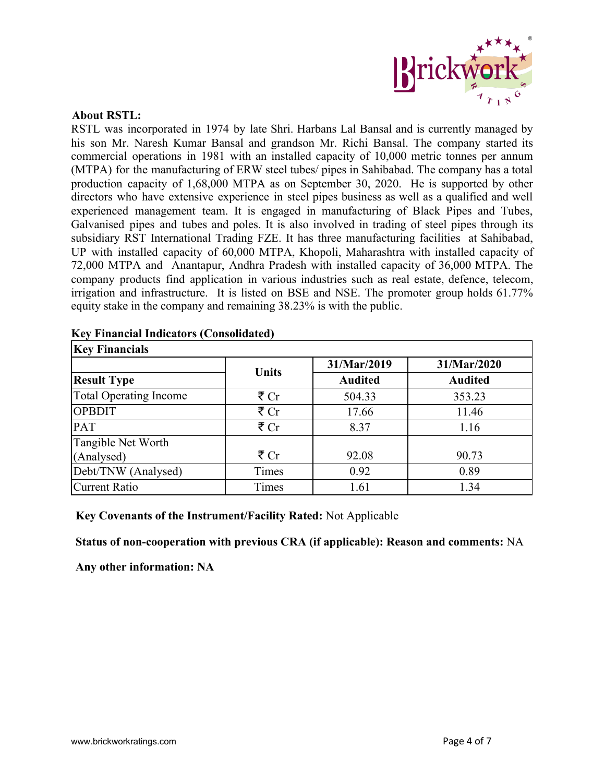

### **About RSTL:**

RSTL was incorporated in 1974 by late Shri. Harbans Lal Bansal and is currently managed by his son Mr. Naresh Kumar Bansal and grandson Mr. Richi Bansal. The company started its commercial operations in 1981 with an installed capacity of 10,000 metric tonnes per annum (MTPA) for the manufacturing of ERW steel tubes/ pipes in Sahibabad. The company has a total production capacity of 1,68,000 MTPA as on September 30, 2020. He is supported by other directors who have extensive experience in steel pipes business as well as a qualified and well experienced management team. It is engaged in manufacturing of Black Pipes and Tubes, Galvanised pipes and tubes and poles. It is also involved in trading of steel pipes through its subsidiary RST International Trading FZE. It has three manufacturing facilities at Sahibabad, UP with installed capacity of 60,000 MTPA, Khopoli, Maharashtra with installed capacity of 72,000 MTPA and Anantapur, Andhra Pradesh with installed capacity of 36,000 MTPA. The company products find application in various industries such as real estate, defence, telecom, irrigation and infrastructure. It is listed on BSE and NSE. The promoter group holds 61.77% equity stake in the company and remaining 38.23% is with the public.

| <b>Key Financials</b>         |              |                |                |  |  |  |
|-------------------------------|--------------|----------------|----------------|--|--|--|
|                               | <b>Units</b> | 31/Mar/2019    | 31/Mar/2020    |  |  |  |
| <b>Result Type</b>            |              | <b>Audited</b> | <b>Audited</b> |  |  |  |
| <b>Total Operating Income</b> | ₹ $Cr$       | 504.33         | 353.23         |  |  |  |
| <b>OPBDIT</b>                 | ₹ $Cr$       | 17.66          | 11.46          |  |  |  |
| <b>PAT</b>                    | ₹ $Cr$       | 8.37           | 1.16           |  |  |  |
| Tangible Net Worth            |              |                |                |  |  |  |
| (Analysed)                    | ₹ $Cr$       | 92.08          | 90.73          |  |  |  |
| Debt/TNW (Analysed)           | Times        | 0.92           | 0.89           |  |  |  |
| <b>Current Ratio</b>          | Times        | 1.61           | 1.34           |  |  |  |

#### **Key Financial Indicators (Consolidated)**

## **Key Covenants of the Instrument/Facility Rated:** Not Applicable

## **Status of non-cooperation with previous CRA (if applicable): Reason and comments:** NA

**Any other information: NA**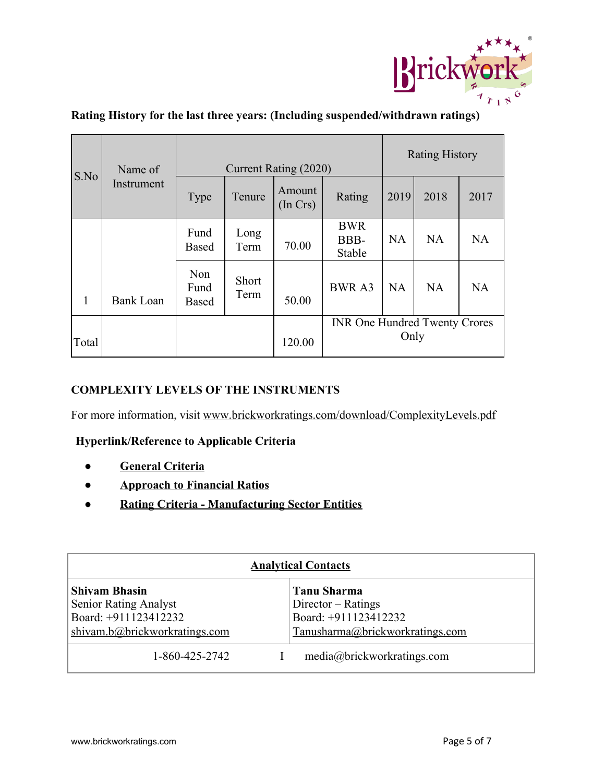

|       | Name of<br>Instrument | Current Rating (2020)       |                      |                    |                                      | <b>Rating History</b> |           |      |
|-------|-----------------------|-----------------------------|----------------------|--------------------|--------------------------------------|-----------------------|-----------|------|
| S.No  |                       | Type                        | Tenure               | Amount<br>(In Crs) | Rating                               | 2019                  | 2018      | 2017 |
|       |                       | Fund<br><b>Based</b>        | Long<br>Term         | 70.00              | <b>BWR</b><br>BBB-<br>Stable         | <b>NA</b>             | <b>NA</b> | NA   |
| 1     | <b>Bank Loan</b>      | Non<br>Fund<br><b>Based</b> | <b>Short</b><br>Term | 50.00              | <b>BWRA3</b>                         | <b>NA</b>             | <b>NA</b> | NA   |
| Total |                       |                             |                      | 120.00             | <b>INR One Hundred Twenty Crores</b> | Only                  |           |      |

# **Rating History for the last three years: (Including suspended/withdrawn ratings)**

## **COMPLEXITY LEVELS OF THE INSTRUMENTS**

For more information, visit [www.brickworkratings.com/download/ComplexityLevels.pdf](http://www.brickworkratings.com/download/ComplexityLevels.pdf)

## **Hyperlink/Reference to Applicable Criteria**

- **[General Criteria](http://www.brickworkratings.com/download/Criteria-GeneralCriteria.pdf)**
- **● [Approach to Financial Ratios](http://www.brickworkratings.com/download/Criteria-FinancialRatios.pdf)**
- **● [Rating Criteria Manufacturing Sector Entities](https://www.brickworkratings.com/download/Criteria_ManufacturingCompanies.pdf)**

| <b>Analytical Contacts</b>                                                                                    |                                                                                                       |  |  |  |  |
|---------------------------------------------------------------------------------------------------------------|-------------------------------------------------------------------------------------------------------|--|--|--|--|
| <b>Shivam Bhasin</b><br><b>Senior Rating Analyst</b><br>Board: +911123412232<br>shivam.b@brickworkratings.com | <b>Tanu Sharma</b><br>$Director - Ratings$<br>Board: +911123412232<br>Tanusharma@brickworkratings.com |  |  |  |  |
| 1-860-425-2742                                                                                                | media@brickworkratings.com                                                                            |  |  |  |  |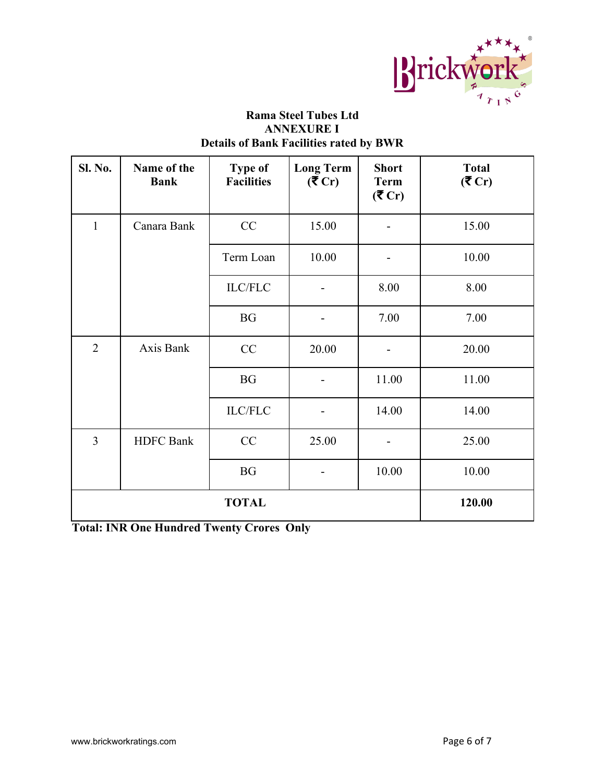

## **Rama Steel Tubes Ltd ANNEXURE I Details of Bank Facilities rated by BWR**

| <b>Sl. No.</b> | Name of the<br><b>Bank</b> | <b>Type of</b><br><b>Facilities</b> | <b>Long Term</b><br>(5C) | <b>Short</b><br><b>Term</b><br>(5C) | <b>Total</b><br>(5C) |
|----------------|----------------------------|-------------------------------------|--------------------------|-------------------------------------|----------------------|
| 1              | Canara Bank                | CC                                  | 15.00                    |                                     | 15.00                |
|                |                            | Term Loan                           | 10.00                    |                                     | 10.00                |
|                |                            | <b>ILC/FLC</b>                      |                          | 8.00                                | 8.00                 |
|                |                            | <b>BG</b>                           |                          | 7.00                                | 7.00                 |
| $\overline{2}$ | Axis Bank                  | CC                                  | 20.00                    |                                     | 20.00                |
|                |                            | <b>BG</b>                           |                          | 11.00                               | 11.00                |
|                |                            | <b>ILC/FLC</b>                      |                          | 14.00                               | 14.00                |
| 3              | <b>HDFC</b> Bank           | CC                                  | 25.00                    |                                     | 25.00                |
|                |                            | <b>BG</b>                           |                          | 10.00                               | 10.00                |
| <b>TOTAL</b>   |                            |                                     |                          |                                     | 120.00               |

**Total: INR One Hundred Twenty Crores Only**